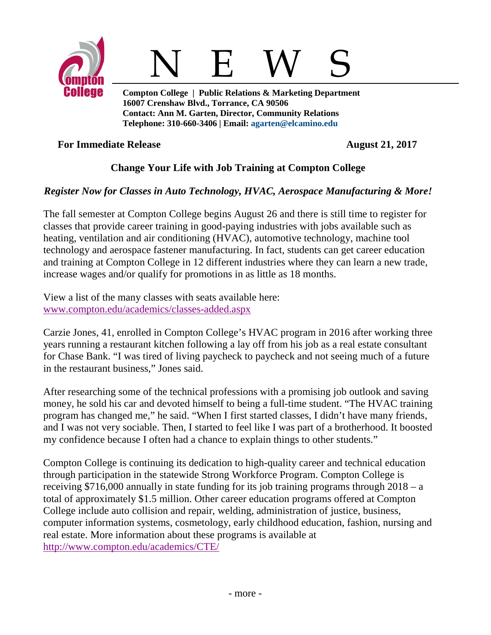



**Compton College | Public Relations & Marketing Department 16007 Crenshaw Blvd., Torrance, CA 90506 Contact: Ann M. Garten, Director, Community Relations Telephone: 310-660-3406 | Email: [agarten@elcamino.edu](mailto:agarten@elcamino.edu)** 

**For Immediate Release August 21, 2017** 

## **Change Your Life with Job Training at Compton College**

## *Register Now for Classes in Auto Technology, HVAC, Aerospace Manufacturing & More!*

The fall semester at Compton College begins August 26 and there is still time to register for classes that provide career training in good-paying industries with jobs available such as heating, ventilation and air conditioning (HVAC), automotive technology, machine tool technology and aerospace fastener manufacturing. In fact, students can get career education and training at Compton College in 12 different industries where they can learn a new trade, increase wages and/or qualify for promotions in as little as 18 months.

View a list of the many classes with seats available here: [www.compton.edu/academics/classes-added.aspx](http://www.compton.edu/academics/classes-added.aspx)

Carzie Jones, 41, enrolled in Compton College's HVAC program in 2016 after working three years running a restaurant kitchen following a lay off from his job as a real estate consultant for Chase Bank. "I was tired of living paycheck to paycheck and not seeing much of a future in the restaurant business," Jones said.

After researching some of the technical professions with a promising job outlook and saving money, he sold his car and devoted himself to being a full-time student. "The HVAC training program has changed me," he said. "When I first started classes, I didn't have many friends, and I was not very sociable. Then, I started to feel like I was part of a brotherhood. It boosted my confidence because I often had a chance to explain things to other students."

Compton College is continuing its dedication to high-quality career and technical education through participation in the statewide Strong Workforce Program. Compton College is receiving \$716,000 annually in state funding for its job training programs through 2018 – a total of approximately \$1.5 million. Other career education programs offered at Compton College include auto collision and repair, welding, administration of justice, business, computer information systems, cosmetology, early childhood education, fashion, nursing and real estate. More information about these programs is available at <http://www.compton.edu/academics/CTE/>